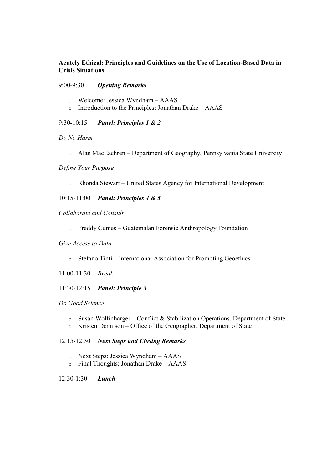## Acutely Ethical: Principles and Guidelines on the Use of Location-Based Data in Crisis Situations

## 9:00-9:30 Opening Remarks

- o Welcome: Jessica Wyndham AAAS
- o Introduction to the Principles: Jonathan Drake AAAS

9:30-10:15 Panel: Principles 1 & 2

Do No Harm

o Alan MacEachren – Department of Geography, Pennsylvania State University

Define Your Purpose

o Rhonda Stewart – United States Agency for International Development

10:15-11:00 Panel: Principles 4 & 5

Collaborate and Consult

o Freddy Cumes – Guatemalan Forensic Anthropology Foundation

## Give Access to Data

- o Stefano Tinti International Association for Promoting Geoethics
- 11:00-11:30 Break
- 11:30-12:15 Panel: Principle 3

Do Good Science

- o Susan Wolfinbarger Conflict & Stabilization Operations, Department of State
- o Kristen Dennison Office of the Geographer, Department of State

12:15-12:30 Next Steps and Closing Remarks

- o Next Steps: Jessica Wyndham AAAS
- o Final Thoughts: Jonathan Drake AAAS

12:30-1:30 Lunch